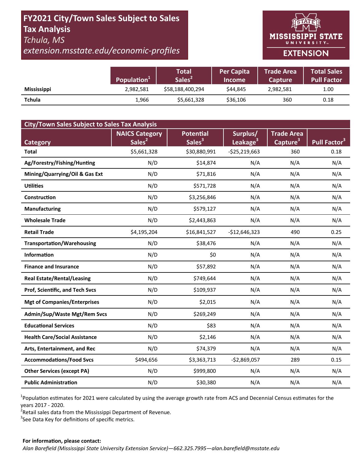# **FY2021 City/Town Sales Subject to Sales Tax Analysis**  *Tchula, MS*

*extension.msstate.edu/economic‐profiles* 



|                    | Population <sup>1</sup> | <b>Total</b><br>Sales <sup>2</sup> | <b>Per Capita</b><br><b>Income</b> | Trade Area<br><b>Capture</b> | <b>Total Sales</b><br><b>Pull Factor</b> |
|--------------------|-------------------------|------------------------------------|------------------------------------|------------------------------|------------------------------------------|
| <b>Mississippi</b> | 2,982,581               | \$58,188,400,294                   | \$44.845                           | 2,982,581                    | 1.00                                     |
| <b>Tchula</b>      | 1,966                   | \$5,661,328                        | \$36,106                           | 360                          | 0.18                                     |

| <b>City/Town Sales Subject to Sales Tax Analysis</b> |                       |                    |                      |                      |                          |  |  |  |  |
|------------------------------------------------------|-----------------------|--------------------|----------------------|----------------------|--------------------------|--|--|--|--|
|                                                      | <b>NAICS Category</b> | <b>Potential</b>   | Surplus/             | <b>Trade Area</b>    |                          |  |  |  |  |
| <b>Category</b>                                      | Sales <sup>2</sup>    | Sales <sup>3</sup> | Leakage <sup>3</sup> | Capture <sup>3</sup> | Pull Factor <sup>3</sup> |  |  |  |  |
| <b>Total</b>                                         | \$5,661,328           | \$30,880,991       | $-525,219,663$       | 360                  | 0.18                     |  |  |  |  |
| Ag/Forestry/Fishing/Hunting                          | N/D                   | \$14,874           | N/A                  | N/A                  | N/A                      |  |  |  |  |
| Mining/Quarrying/Oil & Gas Ext                       | N/D                   | \$71,816           | N/A                  | N/A                  | N/A                      |  |  |  |  |
| <b>Utilities</b>                                     | N/D                   | \$571,728          | N/A                  | N/A                  | N/A                      |  |  |  |  |
| Construction                                         | N/D                   | \$3,256,846        | N/A                  | N/A                  | N/A                      |  |  |  |  |
| <b>Manufacturing</b>                                 | N/D                   | \$579,127          | N/A                  | N/A                  | N/A                      |  |  |  |  |
| <b>Wholesale Trade</b>                               | N/D                   | \$2,443,863        | N/A                  | N/A                  | N/A                      |  |  |  |  |
| <b>Retail Trade</b>                                  | \$4,195,204           | \$16,841,527       | $-$12,646,323$       | 490                  | 0.25                     |  |  |  |  |
| <b>Transportation/Warehousing</b>                    | N/D                   | \$38,476           | N/A                  | N/A                  | N/A                      |  |  |  |  |
| <b>Information</b>                                   | N/D                   | \$0                | N/A                  | N/A                  | N/A                      |  |  |  |  |
| <b>Finance and Insurance</b>                         | N/D                   | \$57,892           | N/A                  | N/A                  | N/A                      |  |  |  |  |
| <b>Real Estate/Rental/Leasing</b>                    | N/D                   | \$749,644          | N/A                  | N/A                  | N/A                      |  |  |  |  |
| Prof, Scientific, and Tech Svcs                      | N/D                   | \$109,937          | N/A                  | N/A                  | N/A                      |  |  |  |  |
| <b>Mgt of Companies/Enterprises</b>                  | N/D                   | \$2,015            | N/A                  | N/A                  | N/A                      |  |  |  |  |
| Admin/Sup/Waste Mgt/Rem Svcs                         | N/D                   | \$269,249          | N/A                  | N/A                  | N/A                      |  |  |  |  |
| <b>Educational Services</b>                          | N/D                   | \$83               | N/A                  | N/A                  | N/A                      |  |  |  |  |
| <b>Health Care/Social Assistance</b>                 | N/D                   | \$2,146            | N/A                  | N/A                  | N/A                      |  |  |  |  |
| Arts, Entertainment, and Rec                         | N/D                   | \$74,379           | N/A                  | N/A                  | N/A                      |  |  |  |  |
| <b>Accommodations/Food Svcs</b>                      | \$494,656             | \$3,363,713        | $-$2,869,057$        | 289                  | 0.15                     |  |  |  |  |
| <b>Other Services (except PA)</b>                    | N/D                   | \$999,800          | N/A                  | N/A                  | N/A                      |  |  |  |  |
| <b>Public Administration</b>                         | N/D                   | \$30,380           | N/A                  | N/A                  | N/A                      |  |  |  |  |

<sup>1</sup>Population estimates for 2021 were calculated by using the average growth rate from ACS and Decennial Census estimates for the years 2017 ‐ 2020.

2 Retail sales data from the Mississippi Department of Revenue*.* 

 $3$ See Data Key for definitions of specific metrics.

#### **For informaƟon, please contact:**  *Alan Barefield (Mississippi State University Extension Service)—662.325.7995—alan.barefield@msstate.edu*